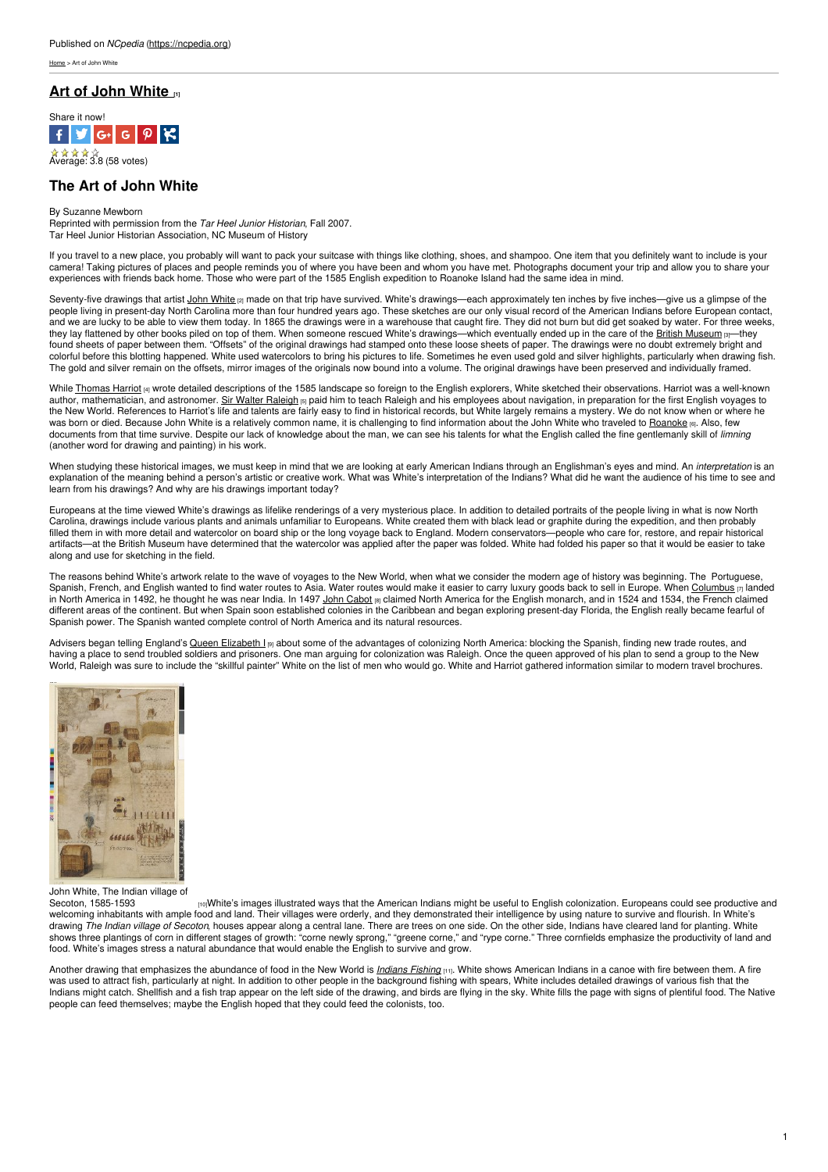[Home](https://ncpedia.org/) > Art of John White

## **Art of John [White](https://ncpedia.org/culture/art/white-john) [1]**



 $\mathbf{\hat{u}} \mathbf{\hat{u}} \mathbf{\hat{u}} \mathbf{\hat{u}}$ <br>Average: 3.8 (58 votes)

# **The Art of John White**

### By Suzanne Mewborn

Reprinted with permission from the *Tar Heel Junior Historian*, Fall 2007. Tar Heel Junior Historian Association, NC Museum of History

If you travel to a new place, you probably will want to pack your suitcase with things like clothing, shoes, and shampoo. One item that you definitely want to include is your camera! Taking pictures of places and people reminds you of where you have been and whom you have met. Photographs document your trip and allow you to share your experiences with friends back home. [Those](http://www.social9.com) who were part of the 1585 English expedition to Roanoke Island had the same idea in mind.

Seventy-five drawings that artist John [White](https://ncpedia.org/biography/governors/white) [2] made on that trip have survived. White's drawings—each approximately ten inches by five inches—give us a glimpse of the people living in present-day North Carolina more than four hundred years ago. These sketches are our only visual record of the American Indians before European contact, and we are lucky to be able to view them today. In 1865 the drawings were in a warehouse that caught fire. They did not burn but did get soaked by water. For three weeks, they lay flattened by other books piled on top of them. When someone rescued White's drawings—which eventually ended up in the care of the <u>British [Museum](http://www.britishmuseum.org/)</u> <sub>[3]</sub>—they found sheets of paper between them. "Offsets" of the original drawings had stamped onto these loose sheets of paper. The drawings were no doubt extremely bright and colorful before this blotting happened. White used watercolors to bring his pictures to life. Sometimes he even used gold and silver highlights, particularly when drawing fish. The gold and silver remain on the offsets, mirror images of the originals now bound into a volume. The original drawings have been preserved and individually framed.

While [Thomas](https://ncpedia.org/biography/harriot-hariot-or) Harriot [4] wrote detailed descriptions of the 1585 landscape so foreign to the English explorers, White sketched their observations. Harriot was a well-known author, mathematician, and astronomer. <u>Sir Walter [Raleigh](https://ncpedia.org/biography/raleigh-walter) (5)</u> paid him to teach Raleigh and his employees about navigation, in preparation for the first English voyages to the New World. References to Harriot's life and talents are fairly easy to find in historical records, but White largely remains a mystery. We do not know when or where he was born or died. Because John White is a relatively common name, it is challenging to find information about the John White who traveled to [Roanoke](https://ncpedia.org/history/colonial/roanoke-island) [6]. Also, few documents from that time survive. Despite our lack of knowledge about the man, we can see his talents for what the English called the fine gentlemanly skill of *limning* (another word for drawing and painting) in his work.

When studying these historical images, we must keep in mind that we are looking at early American Indians through an Englishman's eyes and mind. An *interpretation* is an explanation of the meaning behind a person's artistic or creative work. What was White's interpretation of the Indians? What did he want the audience of his time to see and learn from his drawings? And why are his drawings important today?

Europeans at the time viewed White's drawings as lifelike renderings of a very mysterious place. In addition to detailed portraits of the people living in what is now North Carolina, drawings include various plants and animals unfamiliar to Europeans. White created them with black lead or graphite during the expedition, and then probably Filled them in with more detail and watercolor on board ship or the long voyage back to England. Modern conservators—people who care for, restore, and repair historical artifacts—at the British Museum have determined that the watercolor was applied after the paper was folded. White had folded his paper so that it would be easier to take along and use for sketching in the field.

The reasons behind White's artwork relate to the wave of voyages to the New World, when what we consider the modern age of history was beginning. The Portuguese, Spanish, French, and English wanted to find water routes to Asia. Water routes would make it easier to carry luxury goods back to sell in Europe. When <u>[Columbus](http://www.bbc.co.uk/history/historic_figures/columbus_christopher.shtml)</u> <sub>[7]</sub> landed in North America in 1492, he thought he was near India. In 1497 <u>John [Cabot](http://www.bbc.co.uk/history/historic_figures/cabot_john.shtml) <sub>[8]</sub> claimed</u> North America for the English monarch, and in 1524 and 1534, the French claimed different areas of the continent. But when Spain soon established colonies in the Caribbean and began exploring present-day Florida, the English really became fearful of Spanish power. The Spanish wanted complete control of North America and its natural resources.

Advisers began telling England's Queen [Elizabeth](http://www.folger.edu/template.cfm?cid=1256) I [9] about some of the advantages of colonizing North America: blocking the Spanish, finding new trade routes, and having a place to send troubled soldiers and prisoners. One man arguing for colonization was Raleigh. Once the queen approved of his plan to send a group to the New World, Raleigh was sure to include the "skillful painter" White on the list of men who would go. White and Harriot gathered information similar to modern travel brochures.



John White, The Indian village of

rooWhite's images illustrated ways that the American Indians might be useful to English colonization. Europeans could see productive and welcoming inhabitants with ample food and land. Their villages were orderly, and they demonstrated their intelligence by using nature to survive and flourish. In White's drawing *The Indian village of Secoton*, houses appear along a central lane. There are trees on one side. On the other side, Indians have cleared land for planting. White shows three plantings of corn in different stages of growth: "corne newly sprong," "greene corne," and "rype corne." Three cornfields emphasize the productivity of land and food. White's images stress a natural abundance that would enable the English to survive and grow.

Another drawing that emphasizes the abundance of food in the New World is *[Indians](http://www.britishmuseum.org/research/search_the_collection_database/search_object_details.aspx?objectid=753504&partid=1&output=People%2f!!%2fOR%2f!!%2f129529%2f!%2f129529-3-18%2f!%2fPrevious+owner%2fex-collection+James+Caulfield%2c+1st+Earl+of+Charlemont%2f!%2f%2f!!%2f%2f!!!%2f&orig=%2fresearch%2fsearch_the_collection_database%2fadvanced_search.aspx¤tPage=8&numpages=10) Fishing* [11]. White shows American Indians in a canoe with fire between them. A fire was used to attract fish, particularly at night. In addition to other people in the background fishing with spears, White includes detailed drawings of various fish that the was used to attract fish, particularly at night. Indians might catch. Shellfish and a fish trap appear on the left side of the drawing, and birds are flying in the sky. White fills the page with signs of plentiful food. The Native people can feed themselves; maybe the English hoped that they could feed the colonists, too.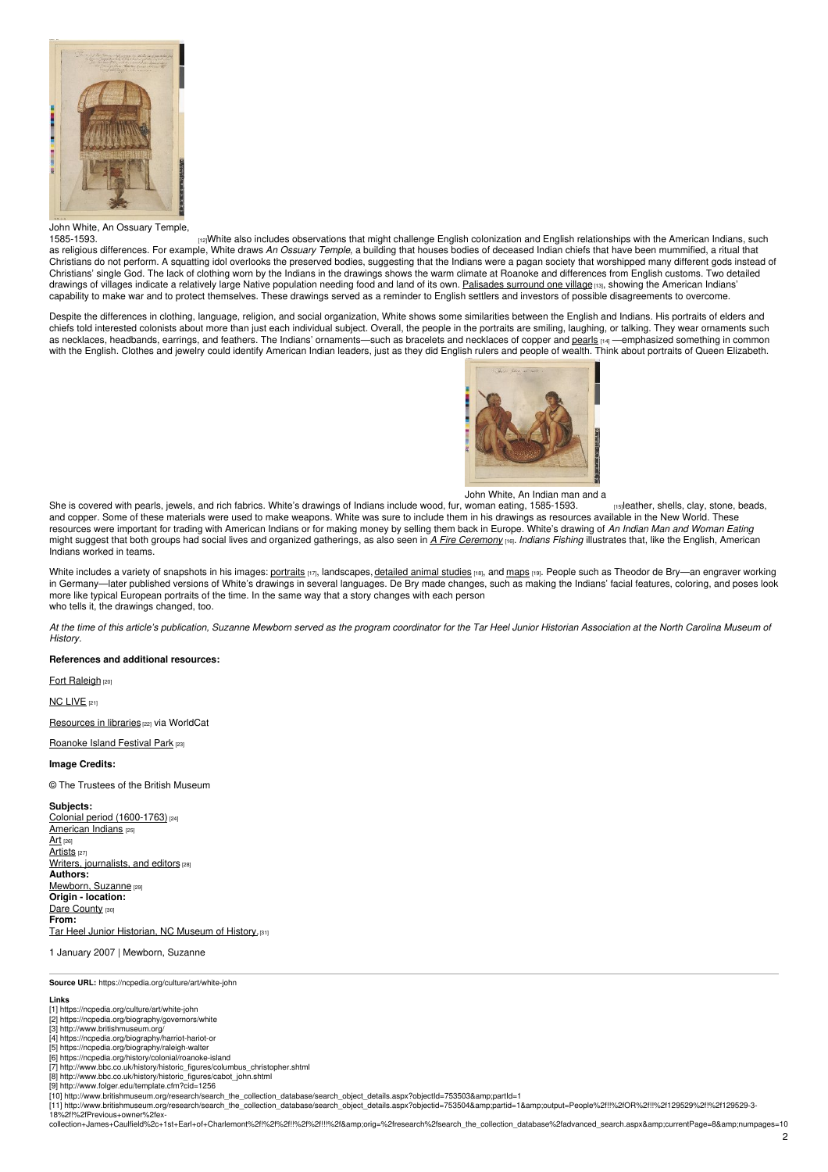

John White, An Ossuary Temple,<br>1585-1593

[1585-1593.](http://www.britishmuseum.org/research/search_the_collection_database/search_object_details.aspx?objectId=753497&partId=1) [12]White also includes observations that might challenge English colonization and English relationships with the American Indians, such as religious differences. For example, White draws *An Ossuary Temple*, a building that houses bodies of deceased Indian chiefs that have been mummified, a ritual that Christians do not perform. A squatting idol overlooks the preserved bodies, suggesting that the Indians were a pagan society that worshipped many different gods instead of Christians' single God. The lack of clothing worn by the Indians in the drawings shows the warm climate at Roanoke and differences from English customs. Two detailed drawings of villages indicate a relatively large Native population needing food and land of its own. [Palisades](http://www.britishmuseum.org/research/search_the_collection_database/search_object_details.aspx?objectid=753502&partid=1&output=People%2f!!%2fOR%2f!!%2f129529%2f!%2f129529-3-18%2f!%2fPrevious+owner%2fex-collection+James+Caulfield%2c+1st+Earl+of+Charlemont%2f!%2f%2f!!%2f%2f!!!%2f&orig=%2fresearch%2fsearch_the_collection_database%2fadvanced_search.aspx¤tPage=4&numpages=10) surround one village [13], showing the American Indians' capability to make war and to protect themselves. These drawings served as a reminder to English settlers and investors of possible disagreements to overcome.

Despite the differences in clothing, language, religion, and social organization, White shows some similarities between the English and Indians. His portraits of elders and chiefs told interested colonists about more than just each individual subject. Overall, the people in the portraits are smiling, laughing, or talking. They wear ornaments such as necklaces, headbands, earrings, and feathers. The Indians' ornaments—such as bracelets and necklaces of copper and [pearls](https://ncpedia.org/pearls) [14] —emphasized something in common with the English. Clothes and jewelry could identify American Indian leaders, just as they did English rulers and people of wealth. Think about portraits of Queen Elizabeth.



John White, An Indian man and a

She is covered with pearls, jewels, and rich fabrics. White's drawings of Indians include wood, fur, woman eating, 1585-1593. woman eating, [1585-1593.](http://www.britishmuseum.org/research/search_the_collection_database/search_object_details.aspx?objectId=753494&partId=1) **[15]leather, shells, clay, stone, beads**, and copper. Some of these materials were used to make weapons. White was sure to include them in his drawings as resources available in the New World. These resources were important for trading with American Indians or for making money by selling them back in Europe. White's drawing of *An Indian Man and Woman Eating* might suggest that both groups had social lives and organized gatherings, as also seen in *A Fire [Ceremony](http://www.britishmuseum.org/research/search_the_collection_database/search_object_details.aspx?objectid=753495&partid=1&output=People%2f!!%2fOR%2f!!%2f129529%2f!%2f129529-3-18%2f!%2fPrevious+owner%2fex-collection+James+Caulfield%2c+1st+Earl+of+Charlemont%2f!%2f%2f!!%2f%2f!!!%2f&orig=%2fresearch%2fsearch_the_collection_database%2fadvanced_search.aspx¤tPage=3&numpages=10)* [16]. *Indians Fishing* illustrates that, like the English, American Indians worked in teams.

White includes a variety of snapshots in his images: [portraits](http://www.britishmuseum.org/research/search_the_collection_database/search_object_details.aspx?objectid=753491&partid=1&output=People%2f!!%2fOR%2f!!%2f129529%2f!%2f129529-3-18%2f!%2fPrevious+owner%2fex-collection+James+Caulfield%2c+1st+Earl+of+Charlemont%2f!%2f%2f!!%2f%2f!!!%2f&orig=%2fresearch%2fsearch_the_collection_database%2fadvanced_search.aspx¤tPage=3&numpages=10) [17], landscapes, [detailed](http://www.britishmuseum.org/research/search_the_collection_database/search_object_details.aspx?objectid=753485&partid=1&output=People%2f!!%2fOR%2f!!%2f129529%2f!%2f129529-3-18%2f!%2fPrevious+owner%2fex-collection+James+Caulfield%2c+1st+Earl+of+Charlemont%2f!%2f%2f!!%2f%2f!!!%2f&orig=%2fresearch%2fsearch_the_collection_database%2fadvanced_search.aspx¤tPage=3&numpages=10) animal studies [18], and [maps](http://www.britishmuseum.org/research/search_the_collection_database/search_object_details.aspx?objectid=753203&partid=1&output=People%2f!!%2fOR%2f!!%2f129529%2f!%2f129529-3-18%2f!%2fPrevious+owner%2fex-collection+James+Caulfield%2c+1st+Earl+of+Charlemont%2f!%2f%2f!!%2f%2f!!!%2f&orig=%2fresearch%2fsearch_the_collection_database%2fadvanced_search.aspx¤tPage=1&numpages=10) [19]. People such as Theodor de Bry-an engraver working in Germany—later published versions of White's drawings in several languages. De Bry made changes, such as making the Indians' facial features, coloring, and poses look more like typical European portraits of the time. In the same way that a story changes with each person who tells it, the drawings changed, too.

At the time of this article's publication, Suzanne Mewborn served as the program coordinator for the Tar Heel Junior Historian Association at the North Carolina Museum of *History.*

### **References and additional resources:**

Fort [Raleigh](https://www.nps.gov/fora/index.htm) [20]

NC [LIVE](https://www.nclive.org/cgi-bin/nclsm?url=%22http://search.ebscohost.com/login.aspx?direct=true&dbgroup=9021&bquery=(john+white)+and+(Art)+and+(new+world)&cli0=FT&clv0=Y&type=1&site=ehost-live%22) [21]

[Resources](https://www.worldcat.org/search?qt=worldcat_org_all&q=john+white+art) in libraries [22] via WorldCat

### [Roanoke](http://roanokeisland.com/) Island Festival Park [23]

**Image Credits:**

© The Trustees of the British Museum

**Subjects:** Colonial period [\(1600-1763\)](https://ncpedia.org/category/subjects/colonial-period) [24] [American](https://ncpedia.org/category/subjects/american-indian) Indians [25] [Art](https://ncpedia.org/category/subjects/art) [26] [Artists](https://ncpedia.org/category/subjects/artist) [27] Writers, [journalists,](https://ncpedia.org/category/subjects/writer) and editors [28] **Authors:** [Mewborn,](https://ncpedia.org/category/authors/mewborn-suzanne) Suzanne [29] **Origin - location:** Dare [County](https://ncpedia.org/category/origin-location/coastal-25) [30] **From:** Tar Heel Junior [Historian,](https://ncpedia.org/category/entry-source/tar-heel-juni) NC Museum of History.[31]

1 January 2007 | Mewborn, Suzanne

**Source URL:** https://ncpedia.org/culture/art/white-john

- **Links** [1] https://ncpedia.org/culture/art/white-john
- [2] https://ncpedia.org/biography/governors/white [3] http://www.britishmuseum.org/
- [4] https://ncpedia.org/biography/harriot-hariot-or
- [5] https://ncpedia.org/biography/raleigh-walter
- 
- [6] https://ncpedia.org/history/colonial/roanoke-island [7] http://www.bbc.co.uk/history/historic\_figures/columbus\_christopher.shtml [8] http://www.bbc.co.uk/history/historic\_figures/cabot\_john.shtml
- [9] http://www.folger.edu/template.cfm?cid=1256
- 

[10] http://www.britishmuseum.org/research/search\_the\_collection\_database/search\_object\_details.aspx?objectId=753503&partId=1<br>[11] http://www.britishmuseum.org/research/search\_the\_collection\_database/search\_object\_deta 18%2f!%2fPrevious+owner%2fex-

.<br>collection+James+Caulfield%2c+1st+Earl+of+Charlemont%2f!%2f%2f!!!%2f%2fi!!%2f&amp;orig=%2fresearch%2fsearch\_the\_collection\_database%2fadvanced\_search.aspx&amp;currentPage=8&amp;numpages=10